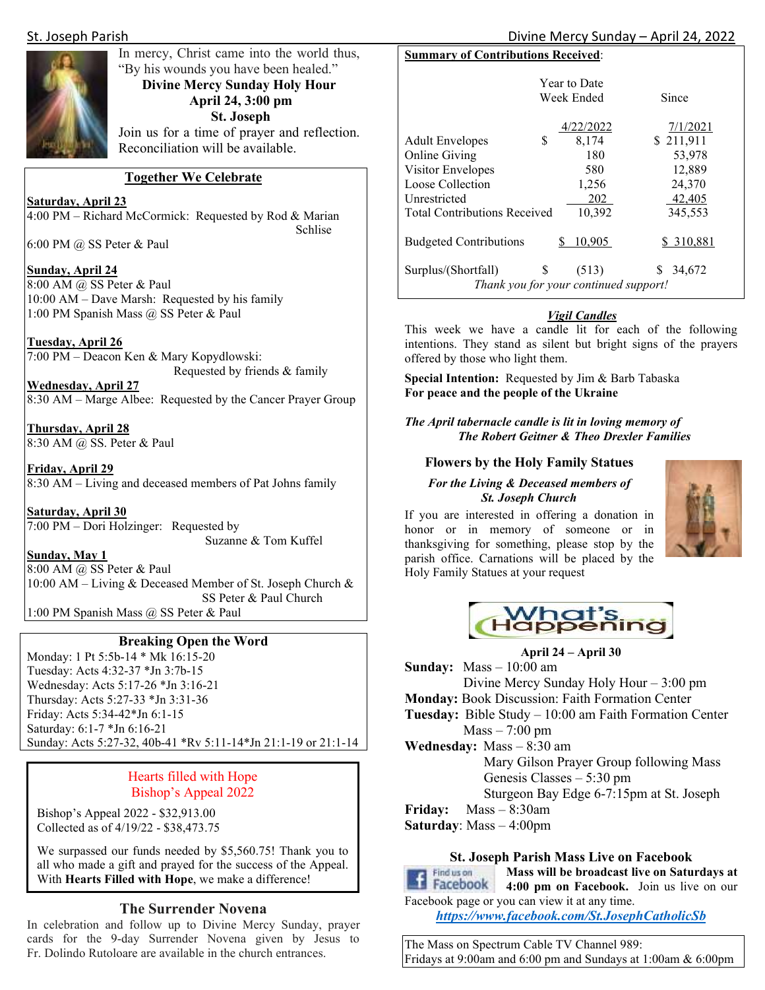

### In mercy, Christ came into the world thus, "By his wounds you have been healed." **Divine Mercy Sunday Holy Hour April 24, 3:00 pm St. Joseph**  Join us for a time of prayer and reflection. Reconciliation will be available.

#### **Together We Celebrate**

**Saturday, April 23**  4:00 PM – Richard McCormick: Requested by Rod & Marian Schlise Schlise

6:00 PM @ SS Peter & Paul

#### **Sunday, April 24**

8:00 AM @ SS Peter & Paul 10:00 AM – Dave Marsh: Requested by his family 1:00 PM Spanish Mass @ SS Peter & Paul

#### **Tuesday, April 26**

7:00 PM – Deacon Ken & Mary Kopydlowski: Requested by friends & family

**Wednesday, April 27**  8:30 AM – Marge Albee: Requested by the Cancer Prayer Group

**Thursday, April 28**  8:30 AM @ SS. Peter & Paul

**Friday, April 29**  8:30 AM – Living and deceased members of Pat Johns family

**Saturday, April 30**  7:00 PM – Dori Holzinger: Requested by Suzanne & Tom Kuffel

**Sunday, May 1** 

8:00 AM @ SS Peter & Paul 10:00 AM – Living & Deceased Member of St. Joseph Church & SS Peter & Paul Church

1:00 PM Spanish Mass @ SS Peter & Paul

#### **Breaking Open the Word**

Monday: 1 Pt 5:5b-14 \* Mk 16:15-20 Tuesday: Acts 4:32-37 \*Jn 3:7b-15 Wednesday: Acts 5:17-26 \*Jn 3:16-21 Thursday: Acts 5:27-33 \*Jn 3:31-36 Friday: Acts 5:34-42\*Jn 6:1-15 Saturday: 6:1-7 \*Jn 6:16-21 Sunday: Acts 5:27-32, 40b-41 \*Rv 5:11-14\*Jn 21:1-19 or 21:1-14

#### Hearts filled with Hope Bishop's Appeal 2022

Bishop's Appeal 2022 - \$32,913.00 Collected as of 4/19/22 - \$38,473.75

We surpassed our funds needed by \$5,560.75! Thank you to all who made a gift and prayed for the success of the Appeal. With **Hearts Filled with Hope**, we make a difference!

#### **The Surrender Novena**

In celebration and follow up to Divine Mercy Sunday, prayer cards for the 9-day Surrender Novena given by Jesus to Fr. Dolindo Rutoloare are available in the church entrances.

| <b>Summary of Contributions Received:</b> |                                                |              |  |  |  |  |
|-------------------------------------------|------------------------------------------------|--------------|--|--|--|--|
|                                           | <b>Year to Date</b>                            |              |  |  |  |  |
|                                           | Week Ended                                     | Since        |  |  |  |  |
|                                           | 4/22/2022                                      | 7/1/2021     |  |  |  |  |
| \$<br><b>Adult Envelopes</b>              | 8,174                                          | \$211,911    |  |  |  |  |
| <b>Online Giving</b>                      | 180                                            | 53,978       |  |  |  |  |
| Visitor Envelopes                         | 580                                            | 12,889       |  |  |  |  |
| Loose Collection                          | 1,256                                          | 24,370       |  |  |  |  |
| Unrestricted                              | 202                                            | 42,405       |  |  |  |  |
| <b>Total Contributions Received</b>       | 10,392                                         | 345,553      |  |  |  |  |
| <b>Budgeted Contributions</b>             | 10,905<br>S                                    | \$ 310,881   |  |  |  |  |
| \$<br>Surplus/(Shortfall)                 | (513)<br>Thank you for your continued support! | 34,672<br>S. |  |  |  |  |

#### *Vigil Candles*

This week we have a candle lit for each of the following intentions. They stand as silent but bright signs of the prayers offered by those who light them.

**Special Intention:** Requested by Jim & Barb Tabaska **For peace and the people of the Ukraine** 

*The April tabernacle candle is lit in loving memory of The Robert Geitner & Theo Drexler Families* 

#### **Flowers by the Holy Family Statues**

#### *For the Living & Deceased members of St. Joseph Church*

If you are interested in offering a donation in honor or in memory of someone or in thanksgiving for something, please stop by the parish office. Carnations will be placed by the Holy Family Statues at your request





**April 24 – April 30 Sunday:** Mass – 10:00 am Divine Mercy Sunday Holy Hour – 3:00 pm **Monday:** Book Discussion: Faith Formation Center **Tuesday:** Bible Study – 10:00 am Faith Formation Center  $Mass - 7:00$  pm **Wednesday:** Mass – 8:30 am Mary Gilson Prayer Group following Mass Genesis Classes – 5:30 pm Sturgeon Bay Edge 6-7:15pm at St. Joseph **Friday:** Mass – 8:30am **Saturday**: Mass – 4:00pm

#### **St. Joseph Parish Mass Live on Facebook**



**Mass will be broadcast live on Saturdays at 14 Facebook** 4:00 pm on Facebook. Join us live on our Facebook page or you can view it at any time.

*https://www.facebook.com/St.JosephCatholicSb* 

The Mass on Spectrum Cable TV Channel 989: Fridays at 9:00am and 6:00 pm and Sundays at 1:00am & 6:00pm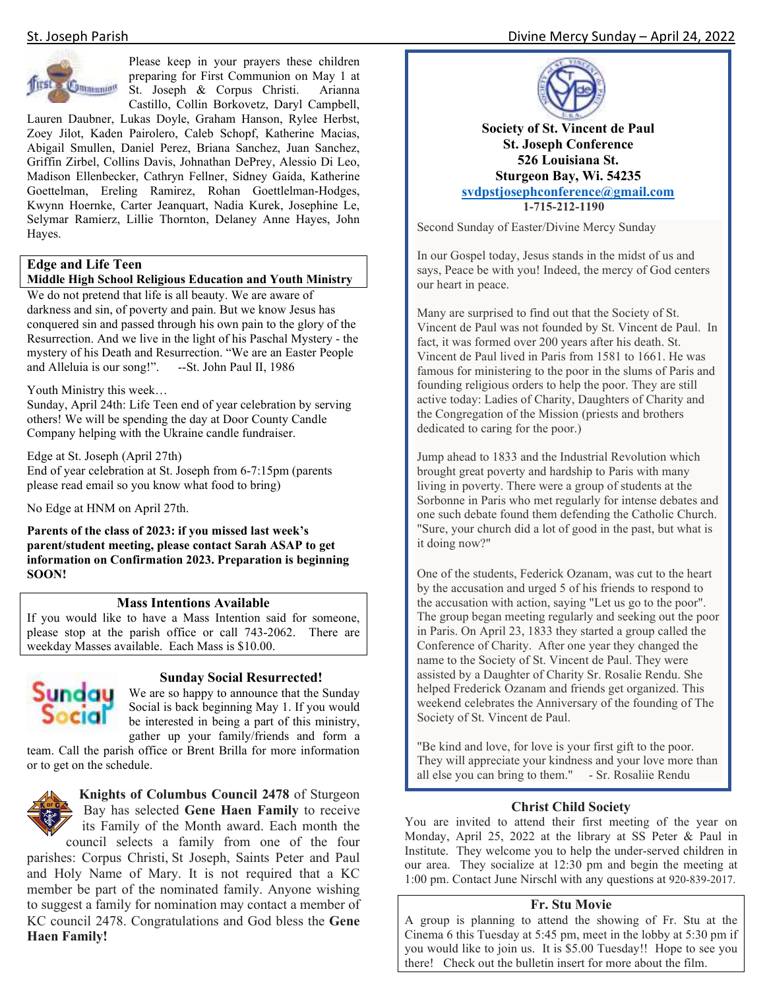

Please keep in your prayers these children preparing for First Communion on May 1 at St. Joseph & Corpus Christi. Arianna Castillo, Collin Borkovetz, Daryl Campbell,

Lauren Daubner, Lukas Doyle, Graham Hanson, Rylee Herbst, Zoey Jilot, Kaden Pairolero, Caleb Schopf, Katherine Macias, Abigail Smullen, Daniel Perez, Briana Sanchez, Juan Sanchez, Griffin Zirbel, Collins Davis, Johnathan DePrey, Alessio Di Leo, Madison Ellenbecker, Cathryn Fellner, Sidney Gaida, Katherine Goettelman, Ereling Ramirez, Rohan Goettlelman-Hodges, Kwynn Hoernke, Carter Jeanquart, Nadia Kurek, Josephine Le, Selymar Ramierz, Lillie Thornton, Delaney Anne Hayes, John Hayes.

### **Edge and Life Teen**

#### **Middle High School Religious Education and Youth Ministry**

We do not pretend that life is all beauty. We are aware of darkness and sin, of poverty and pain. But we know Jesus has conquered sin and passed through his own pain to the glory of the Resurrection. And we live in the light of his Paschal Mystery - the mystery of his Death and Resurrection. "We are an Easter People and Alleluia is our song!". --St. John Paul II, 1986

#### Youth Ministry this week…

Sunday, April 24th: Life Teen end of year celebration by serving others! We will be spending the day at Door County Candle Company helping with the Ukraine candle fundraiser.

Edge at St. Joseph (April 27th)

End of year celebration at St. Joseph from 6-7:15pm (parents please read email so you know what food to bring)

No Edge at HNM on April 27th.

**Parents of the class of 2023: if you missed last week's parent/student meeting, please contact Sarah ASAP to get information on Confirmation 2023. Preparation is beginning SOON!**

#### **Mass Intentions Available**

If you would like to have a Mass Intention said for someone, please stop at the parish office or call 743-2062. There are weekday Masses available. Each Mass is \$10.00.



#### **Sunday Social Resurrected!**

We are so happy to announce that the Sunday Social is back beginning May 1. If you would be interested in being a part of this ministry, gather up your family/friends and form a

team. Call the parish office or Brent Brilla for more information or to get on the schedule.



**Knights of Columbus Council 2478** of Sturgeon Bay has selected **Gene Haen Family** to receive its Family of the Month award. Each month the council selects a family from one of the four

parishes: Corpus Christi, St Joseph, Saints Peter and Paul and Holy Name of Mary. It is not required that a KC member be part of the nominated family. Anyone wishing to suggest a family for nomination may contact a member of KC council 2478. Congratulations and God bless the **Gene Haen Family!** 

#### St. Joseph Parish **Divine Mercy Sunday – April 24, 2022**



**Society of St. Vincent de Paul St. Joseph Conference 526 Louisiana St. Sturgeon Bay, Wi. 54235 svdpstjosephconference@gmail.com 1-715-212-1190**

Second Sunday of Easter/Divine Mercy Sunday

In our Gospel today, Jesus stands in the midst of us and says, Peace be with you! Indeed, the mercy of God centers our heart in peace.

Many are surprised to find out that the Society of St. Vincent de Paul was not founded by St. Vincent de Paul. In fact, it was formed over 200 years after his death. St. Vincent de Paul lived in Paris from 1581 to 1661. He was famous for ministering to the poor in the slums of Paris and founding religious orders to help the poor. They are still active today: Ladies of Charity, Daughters of Charity and the Congregation of the Mission (priests and brothers dedicated to caring for the poor.)

Jump ahead to 1833 and the Industrial Revolution which brought great poverty and hardship to Paris with many living in poverty. There were a group of students at the Sorbonne in Paris who met regularly for intense debates and one such debate found them defending the Catholic Church. "Sure, your church did a lot of good in the past, but what is it doing now?"

One of the students, Federick Ozanam, was cut to the heart by the accusation and urged 5 of his friends to respond to the accusation with action, saying "Let us go to the poor". The group began meeting regularly and seeking out the poor in Paris. On April 23, 1833 they started a group called the Conference of Charity. After one year they changed the name to the Society of St. Vincent de Paul. They were assisted by a Daughter of Charity Sr. Rosalie Rendu. She helped Frederick Ozanam and friends get organized. This weekend celebrates the Anniversary of the founding of The Society of St. Vincent de Paul.

"Be kind and love, for love is your first gift to the poor. They will appreciate your kindness and your love more than all else you can bring to them." - Sr. Rosaliie Rendu

#### **Christ Child Society**

You are invited to attend their first meeting of the year on Monday, April 25, 2022 at the library at SS Peter & Paul in Institute. They welcome you to help the under-served children in our area. They socialize at 12:30 pm and begin the meeting at 1:00 pm. Contact June Nirschl with any questions at 920-839-2017.

#### **Fr. Stu Movie**

A group is planning to attend the showing of Fr. Stu at the Cinema 6 this Tuesday at 5:45 pm, meet in the lobby at 5:30 pm if you would like to join us. It is \$5.00 Tuesday!! Hope to see you there! Check out the bulletin insert for more about the film.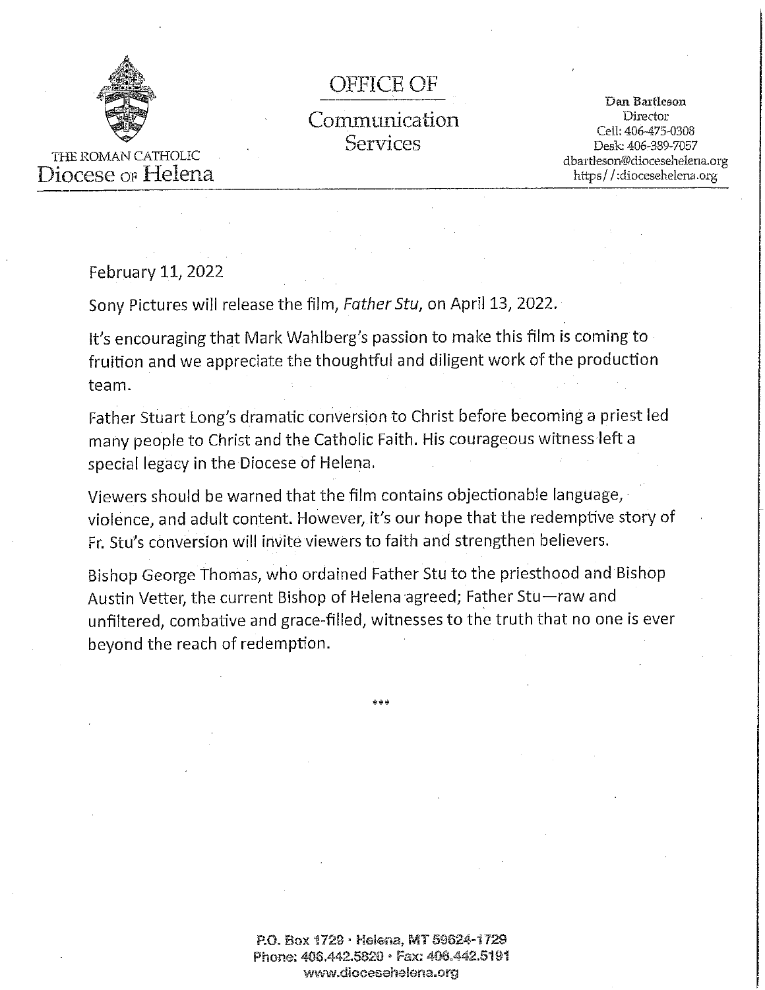

### **OFFICE OF**

## Communication **Services**

Dan Bartleson Director Cell: 406-475-0308 Desk: 406-389-7057 dbartleson@diocesehelena.org https//:diocesehelena.org

THE ROMAN CATHOLIC Diocese or Helena

February 11, 2022

Sony Pictures will release the film, Father Stu, on April 13, 2022.

It's encouraging that Mark Wahlberg's passion to make this film is coming to fruition and we appreciate the thoughtful and diligent work of the production team.

Father Stuart Long's dramatic conversion to Christ before becoming a priest led many people to Christ and the Catholic Faith. His courageous witness left a special legacy in the Diocese of Helena.

Viewers should be warned that the film contains objectionable language, violence, and adult content. However, it's our hope that the redemptive story of Fr. Stu's conversion will invite viewers to faith and strengthen believers.

Bishop George Thomas, who ordained Father Stu to the priesthood and Bishop Austin Vetter, the current Bishop of Helena agreed; Father Stu-raw and unfiltered, combative and grace-filled, witnesses to the truth that no one is ever beyond the reach of redemption.

> P.O. Box 1729 · Helena, MT 59624-1729 Phone: 406.442.5820 · Fax: 406.442.5191 www.diocesehelena.org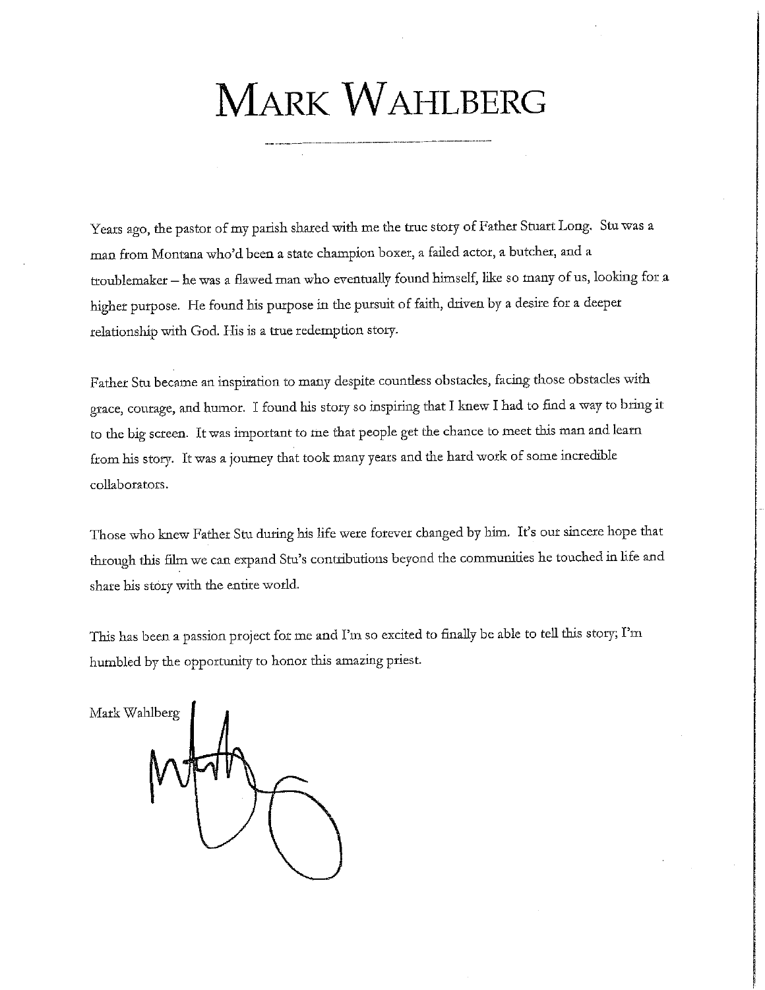# **MARK WAHLBERG**

Years ago, the pastor of my parish shared with me the true story of Father Stuart Long. Stu was a man from Montana who'd been a state champion boxer, a failed actor, a butcher, and a troublemaker - he was a flawed man who eventually found himself, like so many of us, looking for a higher purpose. He found his purpose in the pursuit of faith, driven by a desire for a deeper relationship with God. His is a true redemption story.

Father Stu became an inspiration to many despite countless obstacles, facing those obstacles with grace, courage, and humor. I found his story so inspiring that I knew I had to find a way to bring it to the big screen. It was important to me that people get the chance to meet this man and learn from his story. It was a journey that took many years and the hard work of some incredible collaborators.

Those who knew Father Stu during his life were forever changed by him. It's our sincere hope that through this film we can expand Stu's contributions beyond the communities he touched in life and share his story with the entire world.

This has been a passion project for me and I'm so excited to finally be able to tell this story; I'm humbled by the opportunity to honor this amazing priest.

Mark Wahlberg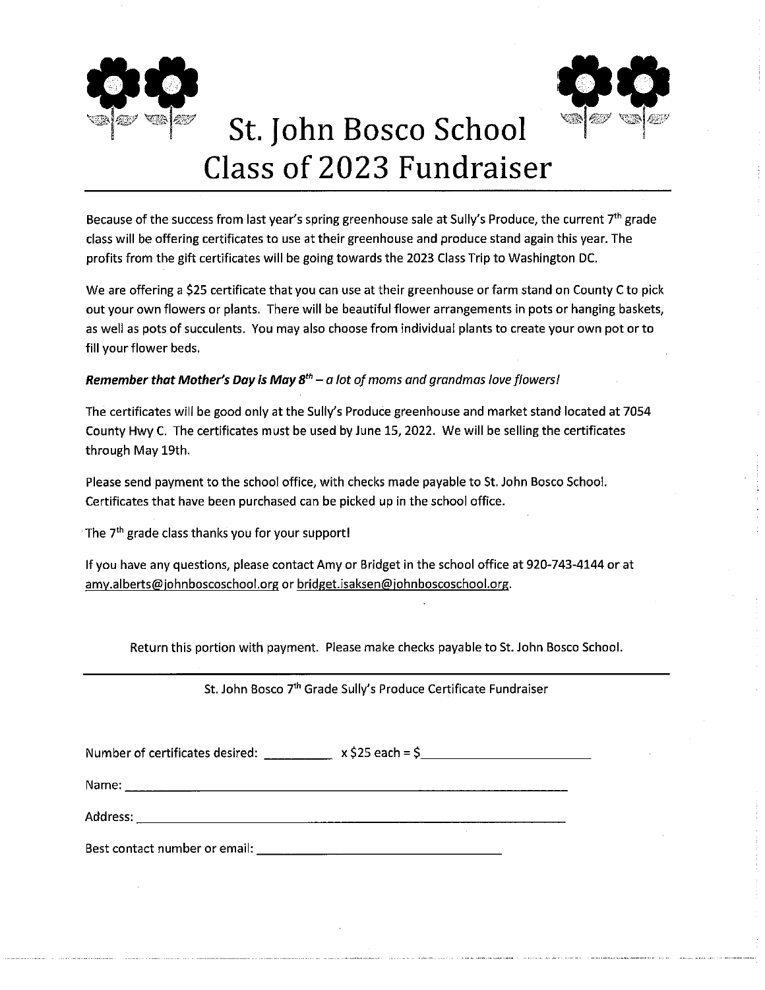



# St. John Bosco School Class of 2023 Fundraiser

Because of the success from last year's spring greenhouse sale at Sully's Produce, the current 7<sup>th</sup> grade class will be offering certificates to use at their greenhouse and produce stand again this year. The profits from the gift certificates will be going towards the 2023 Class Trip to Washington DC.

We are offering a \$25 certificate that you can use at their greenhouse or farm stand on County C to pick out your own flowers or plants. There will be beautiful flower arrangements in pots or hanging baskets, as well as pots of succulents. You may also choose from individual plants to create your own pot or to fill your flower beds.

#### **Remember that Mother's Day is May 8<sup>th</sup>** – a lot of moms and grandmas love flowers!

The certificates will be good only at the Sully's Produce greenhouse and market stand located at 7054 County Hwy C. The certificates must be used by June 15, 2022. We will be selling the certificates through May 19th.

Please send payment to the school office, with checks made payable to St. John Bosco School. Certificates that have been purchased can be picked up in the school office.

The 7<sup>th</sup> grade class thanks you for your support!

If you have any questions, please contact Amy or Bridget in the school office at 920-743-4144 or at amy.alberts@johnboscoschool.org or bridget.isaksen@johnboscoschool.org.

Return this portion with payment. Please make checks payable to St. John Bosco School.

St. John Bosco 7<sup>th</sup> Grade Sully's Produce Certificate Fundraiser

| Number of certificates desired: | $x$ \$25 each = \$ |  |
|---------------------------------|--------------------|--|
|                                 |                    |  |

<u> 1989 - Johann Barn, mars et al. (b. 1989)</u> Name:  $\Box$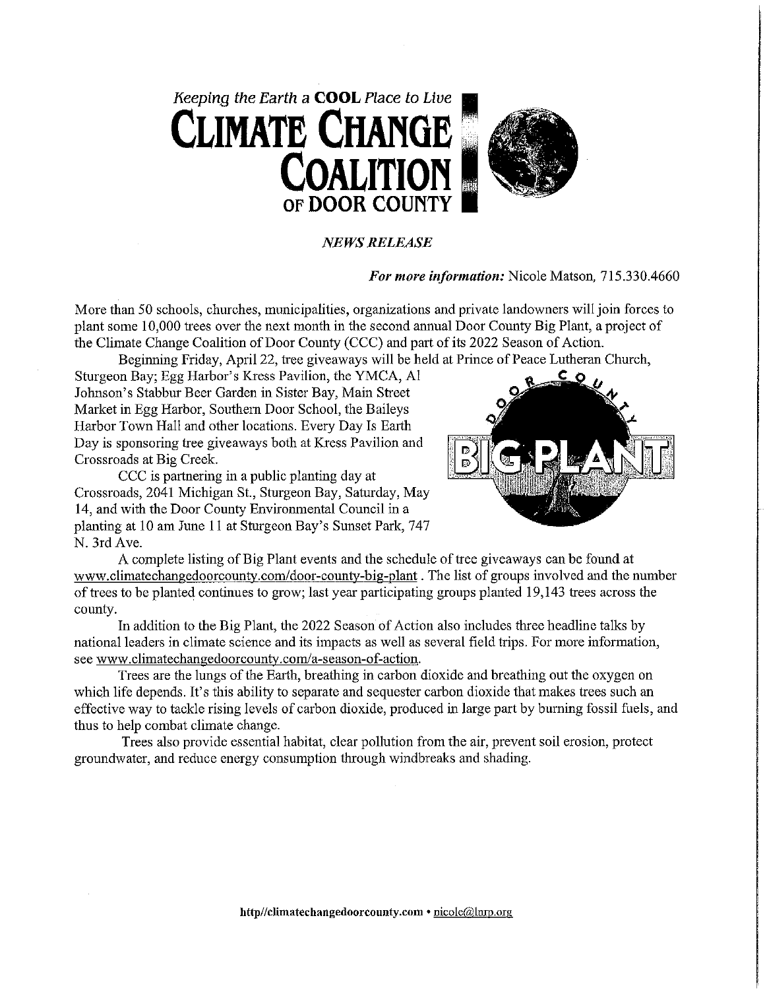

#### **NEWS RELEASE**

#### For more information: Nicole Matson, 715.330.4660

More than 50 schools, churches, municipalities, organizations and private landowners will join forces to plant some 10,000 trees over the next month in the second annual Door County Big Plant, a project of the Climate Change Coalition of Door County (CCC) and part of its 2022 Season of Action.

Beginning Friday, April 22, tree giveaways will be held at Prince of Peace Lutheran Church,

Sturgeon Bay; Egg Harbor's Kress Pavilion, the YMCA, Al Johnson's Stabbur Beer Garden in Sister Bay, Main Street Market in Egg Harbor, Southern Door School, the Baileys Harbor Town Hall and other locations. Every Day Is Earth Day is sponsoring tree giveaways both at Kress Pavilion and Crossroads at Big Creek.

CCC is partnering in a public planting day at Crossroads, 2041 Michigan St., Sturgeon Bay, Saturday, May 14, and with the Door County Environmental Council in a planting at 10 am June 11 at Sturgeon Bay's Sunset Park, 747 N. 3rd Ave.



A complete listing of Big Plant events and the schedule of tree give a ways can be found at www.climatechangedoorcounty.com/door-county-big-plant. The list of groups involved and the number of trees to be planted continues to grow; last year participating groups planted 19,143 trees across the county.

In addition to the Big Plant, the 2022 Season of Action also includes three headline talks by national leaders in climate science and its impacts as well as several field trips. For more information, see www.climatechangedoorcounty.com/a-season-of-action.

Trees are the lungs of the Earth, breathing in carbon dioxide and breathing out the oxygen on which life depends. It's this ability to separate and sequester carbon dioxide that makes trees such an effective way to tackle rising levels of carbon dioxide, produced in large part by burning fossil fuels, and thus to help combat climate change.

Trees also provide essential habitat, clear pollution from the air, prevent soil erosion, protect groundwater, and reduce energy consumption through windbreaks and shading.